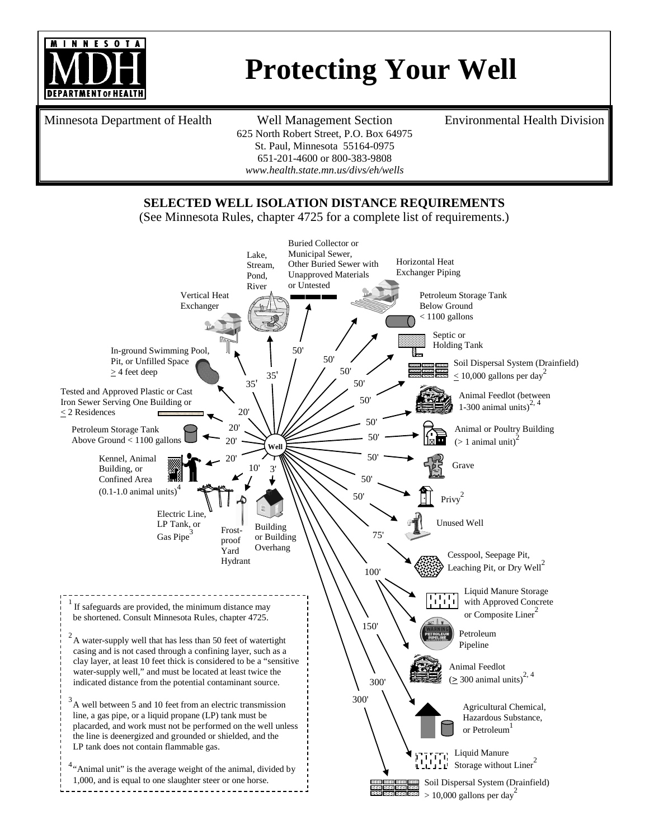

## **Protecting Your Well**

Minnesota Department of Health Well Management Section

625 North Robert Street, P.O. Box 64975 St. Paul, Minnesota 55164-0975 651-201-4600 or 800-383-9808 *[www.health.state.mn.us/divs/eh/wells](http://www.health.state.mn.us/divs/eh/wells)*

Environmental Health Division

## **SELECTED WELL ISOLATION DISTANCE REQUIREMENTS**

(See Minnesota Rules, chapter 4725 for a complete list of requirements.)